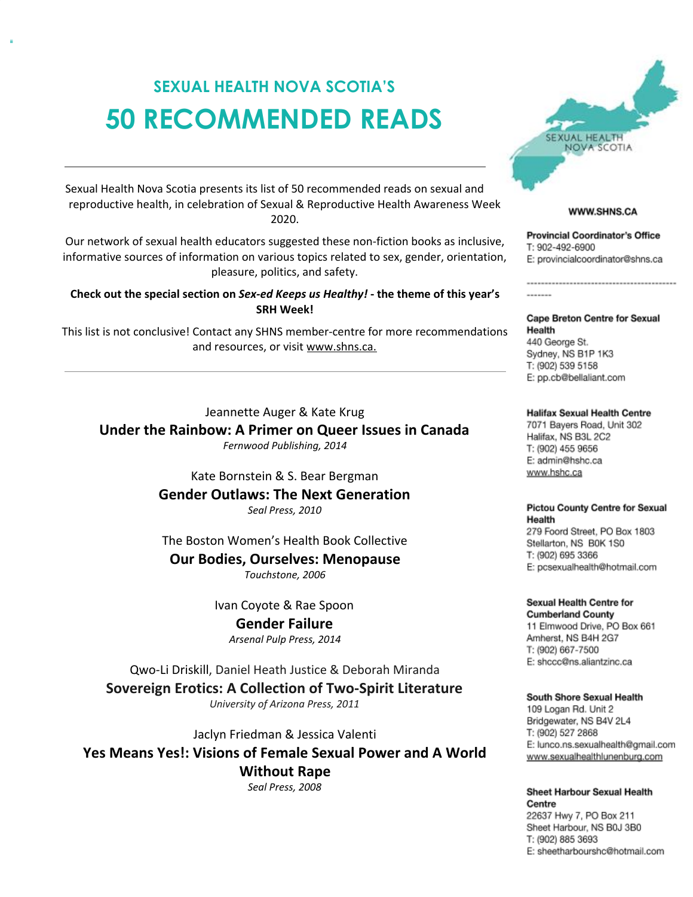# SEXUAL HEALTH NOVA SCOTIA'S 50 RECOMMENDED READS

Sexual Health Nova Scotia presents its list of 50 recommended reads on sexual and reproductive health, in celebration of Sexual & Reproductive Health Awareness Week 2020.

Our network of sexual health educators suggested these non-fiction books as inclusive, informative sources of information on various topics related to sex, gender, orientation, pleasure, politics, and safety.

### Check out the special section on Sex-ed Keeps us Healthy! - the theme of this year's SRH Week!

This list is not conclusive! Contact any SHNS member-centre for more recommendations and resources, or visit www.shns.ca.

### Jeannette Auger & Kate Krug

Under the Rainbow: A Primer on Queer Issues in Canada Fernwood Publishing, 2014

> Kate Bornstein & S. Bear Bergman Gender Outlaws: The Next Generation Seal Press, 2010

The Boston Women's Health Book Collective

Our Bodies, Ourselves: Menopause

Touchstone, 2006

Ivan Coyote & Rae Spoon Gender Failure Arsenal Pulp Press, 2014

Qwo-Li Driskill, Daniel Heath Justice & Deborah Miranda Sovereign Erotics: A Collection of Two-Spirit Literature University of Arizona Press, 2011

Jaclyn Friedman & Jessica Valenti Yes Means Yes!: Visions of Female Sexual Power and A World Without Rape Seal Press, 2008

**SEXUAL HEALTH** NOVA SCOTIA

### WWW.SHNS.CA

**Provincial Coordinator's Office** T: 902-492-6900 E: provincialcoordinator@shns.ca

**Cape Breton Centre for Sexual** Health 440 George St. Sydney, NS B1P 1K3 T: (902) 539 5158 E: pp.cb@bellaliant.com

### **Halifax Sexual Health Centre**

7071 Bayers Road, Unit 302 Halifax, NS B3L 2C2 T: (902) 455 9656 E: admin@hshc.ca www.hshc.ca

### **Pictou County Centre for Sexual** Health

279 Foord Street, PO Box 1803 Stellarton, NS B0K 1S0 T: (902) 695 3366 E: pcsexualhealth@hotmail.com

Sexual Health Centre for

**Cumberland County** 11 Elmwood Drive, PO Box 661 Amherst, NS B4H 2G7 T: (902) 667-7500 E: shccc@ns.aliantzinc.ca

### South Shore Sexual Health

109 Logan Rd. Unit 2 Bridgewater, NS B4V 2L4 T: (902) 527 2868 E: lunco.ns.sexualhealth@gmail.com www.sexualhealthlunenburg.com

Sheet Harbour Sexual Health Centre 22637 Hwy 7, PO Box 211

Sheet Harbour, NS B0J 3B0 T: (902) 885 3693 E: sheetharbourshc@hotmail.com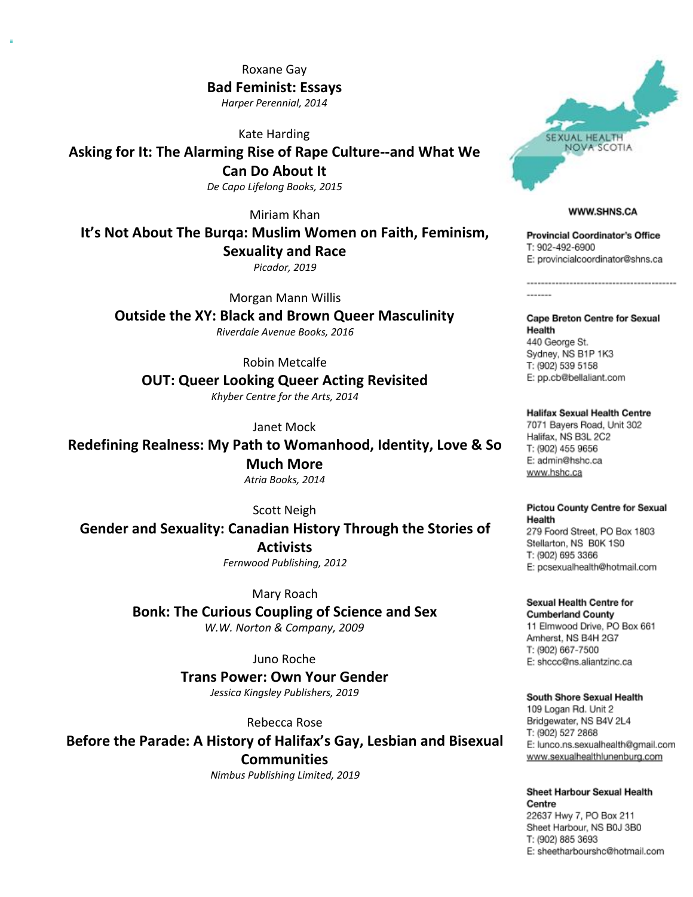Roxane Gay Bad Feminist: Essays Harper Perennial, 2014

Kate Harding

Asking for It: The Alarming Rise of Rape Culture--and What We Can Do About It De Capo Lifelong Books, 2015

Miriam Khan

It's Not About The Burqa: Muslim Women on Faith, Feminism, Sexuality and Race

Picador, 2019

Morgan Mann Willis

Outside the XY: Black and Brown Queer Masculinity Riverdale Avenue Books, 2016

Robin Metcalfe

OUT: Queer Looking Queer Acting Revisited Khyber Centre for the Arts, 2014

Janet Mock

Redefining Realness: My Path to Womanhood, Identity, Love & So Much More Atria Books, 2014

Scott Neigh Gender and Sexuality: Canadian History Through the Stories of **Activists** Fernwood Publishing, 2012

> Mary Roach Bonk: The Curious Coupling of Science and Sex W.W. Norton & Company, 2009

> > Juno Roche Trans Power: Own Your Gender

Jessica Kingsley Publishers, 2019

Rebecca Rose

Before the Parade: A History of Halifax's Gay, Lesbian and Bisexual **Communities** 

Nimbus Publishing Limited, 2019



### WWW.SHNS.CA

......................................

**Provincial Coordinator's Office** T: 902-492-6900 E: provincialcoordinator@shns.ca

**Cape Breton Centre for Sexual** Health 440 George St. Sydney, NS B1P 1K3 T: (902) 539 5158 E: pp.cb@bellaliant.com

**Halifax Sexual Health Centre** 7071 Bayers Road, Unit 302 Halifax, NS B3L 2C2 T: (902) 455 9656 E: admin@hshc.ca www.hshc.ca

### **Pictou County Centre for Sexual** Health

279 Foord Street, PO Box 1803 Stellarton, NS B0K 1S0 T: (902) 695 3366 E: pcsexualhealth@hotmail.com

Sexual Health Centre for **Cumberland County** 11 Elmwood Drive, PO Box 661 Amherst, NS B4H 2G7 T: (902) 667-7500 E: shccc@ns.aliantzinc.ca

South Shore Sexual Health

109 Logan Rd. Unit 2 Bridgewater, NS B4V 2L4 T: (902) 527 2868 E: lunco.ns.sexualhealth@gmail.com www.sexualhealthlunenburg.com

Sheet Harbour Sexual Health Centre 22637 Hwy 7, PO Box 211 Sheet Harbour, NS B0J 3B0 T: (902) 885 3693 E: sheetharbourshc@hotmail.com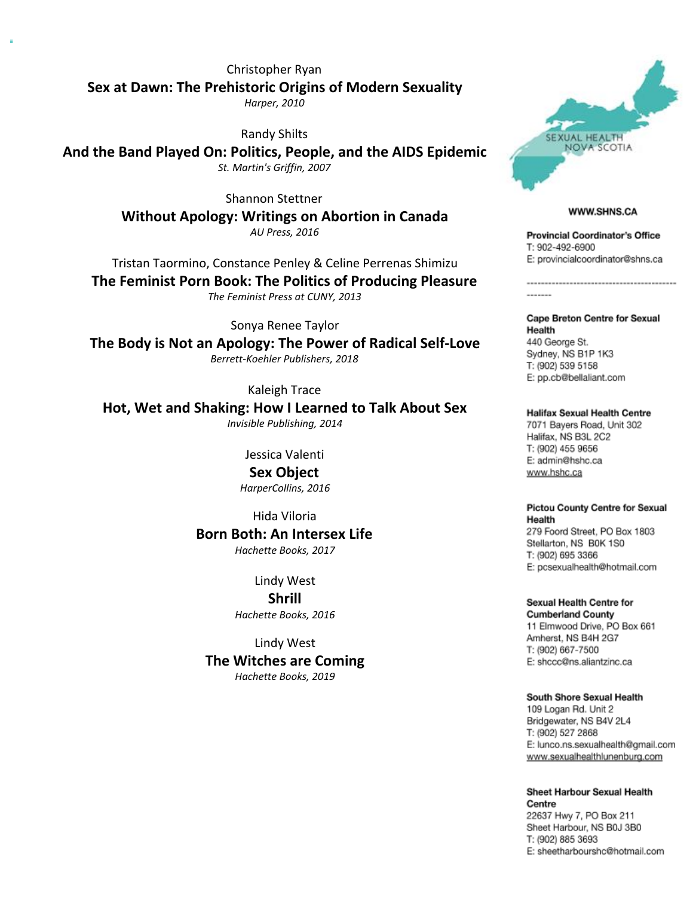Christopher Ryan Sex at Dawn: The Prehistoric Origins of Modern Sexuality Harper, 2010

Randy Shilts

And the Band Played On: Politics, People, and the AIDS Epidemic St. Martin's Griffin, 2007

> Shannon Stettner Without Apology: Writings on Abortion in Canada AU Press, 2016

Tristan Taormino, Constance Penley & Celine Perrenas Shimizu The Feminist Porn Book: The Politics of Producing Pleasure

The Feminist Press at CUNY, 2013

Sonya Renee Taylor The Body is Not an Apology: The Power of Radical Self-Love Berrett-Koehler Publishers, 2018

Kaleigh Trace

Hot, Wet and Shaking: How I Learned to Talk About Sex Invisible Publishing, 2014

Jessica Valenti

Sex Object HarperCollins, 2016

Hida Viloria Born Both: An Intersex Life Hachette Books, 2017

> Lindy West Shrill Hachette Books, 2016

Lindy West The Witches are Coming Hachette Books, 2019



### WWW.SHNS.CA

**Provincial Coordinator's Office** T: 902-492-6900 E: provincialcoordinator@shns.ca

**Cape Breton Centre for Sexual** Health 440 George St. Sydney, NS B1P 1K3 T: (902) 539 5158 E: pp.cb@bellaliant.com

**Halifax Sexual Health Centre** 7071 Bayers Road, Unit 302 Halifax, NS B3L 2C2 T: (902) 455 9656 E: admin@hshc.ca www.hshc.ca

**Pictou County Centre for Sexual** Health 279 Foord Street, PO Box 1803 Stellarton, NS B0K 1S0 T: (902) 695 3366

E: pcsexualhealth@hotmail.com

Sexual Health Centre for **Cumberland County** 11 Elmwood Drive, PO Box 661 Amherst, NS B4H 2G7 T: (902) 667-7500 E: shccc@ns.aliantzinc.ca

South Shore Sexual Health 109 Logan Rd. Unit 2 Bridgewater, NS B4V 2L4

T: (902) 527 2868 E: lunco.ns.sexualhealth@gmail.com www.sexualhealthlunenburg.com

**Sheet Harbour Sexual Health** Centre 22637 Hwy 7, PO Box 211 Sheet Harbour, NS B0J 3B0 T: (902) 885 3693 E: sheetharbourshc@hotmail.com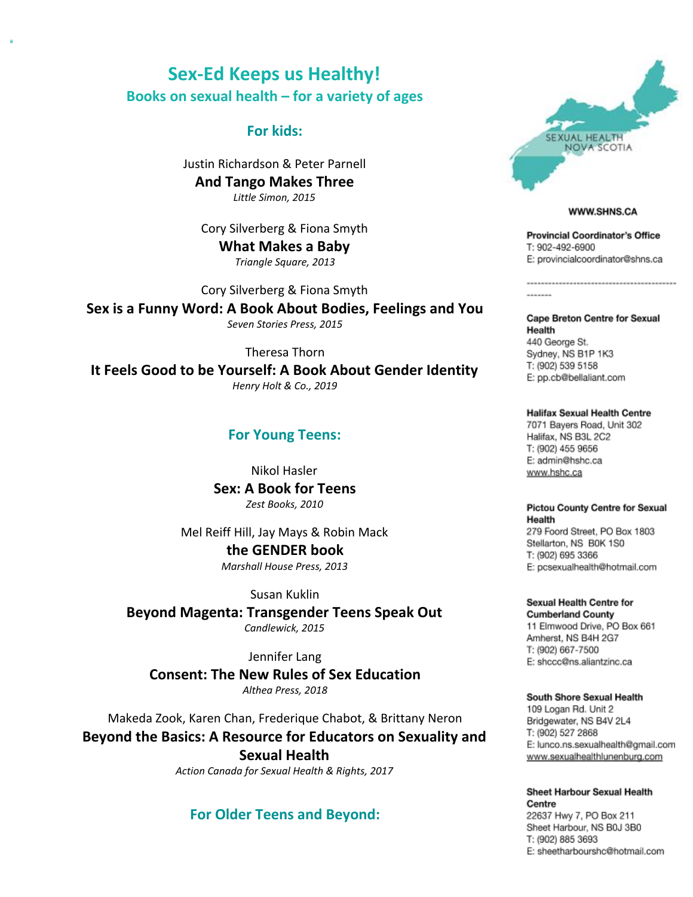## Sex-Ed Keeps us Healthy! Books on sexual health – for a variety of ages

### For kids:

Justin Richardson & Peter Parnell And Tango Makes Three Little Simon, 2015

Cory Silverberg & Fiona Smyth What Makes a Baby Triangle Square, 2013

Cory Silverberg & Fiona Smyth Sex is a Funny Word: A Book About Bodies, Feelings and You Seven Stories Press, 2015

Theresa Thorn It Feels Good to be Yourself: A Book About Gender Identity Henry Holt & Co., 2019

### For Young Teens:

Nikol Hasler Sex: A Book for Teens Zest Books, 2010

Mel Reiff Hill, Jay Mays & Robin Mack the GENDER book Marshall House Press, 2013

Susan Kuklin Beyond Magenta: Transgender Teens Speak Out Candlewick, 2015

Jennifer Lang Consent: The New Rules of Sex Education Althea Press, 2018

Makeda Zook, Karen Chan, Frederique Chabot, & Brittany Neron Beyond the Basics: A Resource for Educators on Sexuality and Sexual Health

Action Canada for Sexual Health & Rights, 2017

### For Older Teens and Beyond:



### WWW.SHNS.CA

------------------------------------

**Provincial Coordinator's Office** T: 902-492-6900 E: provincialcoordinator@shns.ca

**Cape Breton Centre for Sexual** Health 440 George St. Sydney, NS B1P 1K3 T: (902) 539 5158 E: pp.cb@bellaliant.com

**Halifax Sexual Health Centre** 7071 Bayers Road, Unit 302 Halifax, NS B3L 2C2 T: (902) 455 9656 E: admin@hshc.ca www.hshc.ca

**Pictou County Centre for Sexual** Health

279 Foord Street, PO Box 1803 Stellarton, NS B0K 1S0 T: (902) 695 3366 E: pcsexualhealth@hotmail.com

Sexual Health Centre for **Cumberland County** 11 Elmwood Drive, PO Box 661 Amherst, NS B4H 2G7 T: (902) 667-7500 E: shccc@ns.aliantzinc.ca

South Shore Sexual Health

109 Logan Rd. Unit 2 Bridgewater, NS B4V 2L4 T: (902) 527 2868 E: lunco.ns.sexualhealth@gmail.com www.sexualhealthlunenburg.com

**Sheet Harbour Sexual Health** Centre 22637 Hwy 7, PO Box 211 Sheet Harbour, NS B0J 3B0 T: (902) 885 3693 E: sheetharbourshc@hotmail.com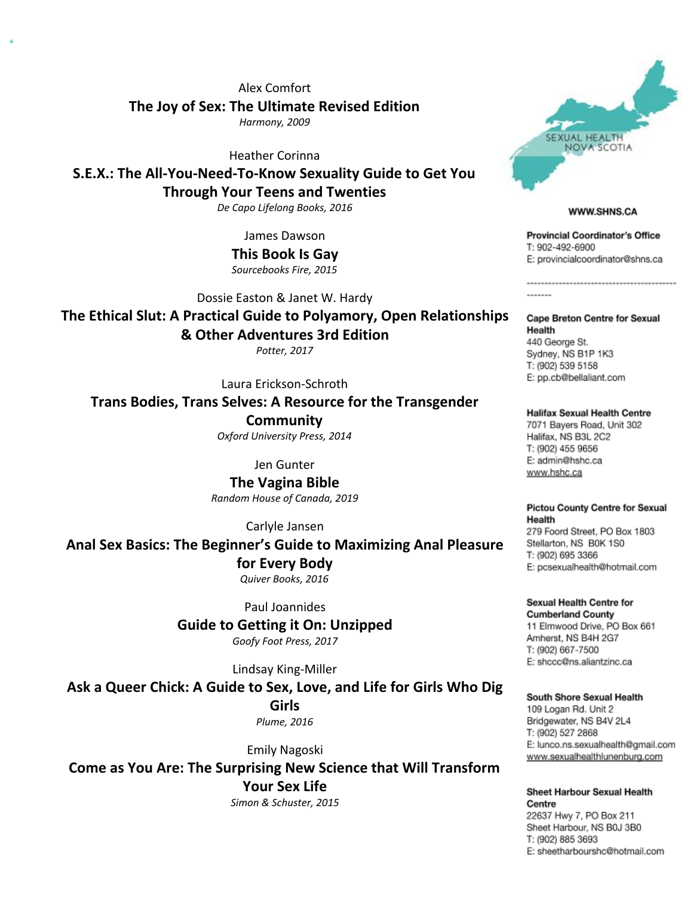Alex Comfort The Joy of Sex: The Ultimate Revised Edition

Harmony, 2009

Heather Corinna

S.E.X.: The All-You-Need-To-Know Sexuality Guide to Get You Through Your Teens and Twenties

De Capo Lifelong Books, 2016

James Dawson

This Book Is Gay Sourcebooks Fire, 2015

Dossie Easton & Janet W. Hardy

The Ethical Slut: A Practical Guide to Polyamory, Open Relationships

& Other Adventures 3rd Edition

Potter, 2017

Laura Erickson-Schroth

Trans Bodies, Trans Selves: A Resource for the Transgender

**Community** Oxford University Press, 2014

Jen Gunter

The Vagina Bible Random House of Canada, 2019

Carlyle Jansen

Anal Sex Basics: The Beginner's Guide to Maximizing Anal Pleasure for Every Body Quiver Books, 2016

Paul Joannides

Guide to Getting it On: Unzipped

Goofy Foot Press, 2017

Lindsay King-Miller

Ask a Queer Chick: A Guide to Sex, Love, and Life for Girls Who Dig Girls

Plume, 2016

Emily Nagoski

Come as You Are: The Surprising New Science that Will Transform Your Sex Life

Simon & Schuster, 2015



### WWW.SHNS.CA

------------------------------------

**Provincial Coordinator's Office** T: 902-492-6900 E: provincialcoordinator@shns.ca

**Cape Breton Centre for Sexual** Health 440 George St. Sydney, NS B1P 1K3 T: (902) 539 5158 E: pp.cb@bellaliant.com

**Halifax Sexual Health Centre** 7071 Bayers Road, Unit 302 Halifax, NS B3L 2C2 T: (902) 455 9656 E: admin@hshc.ca www.hshc.ca

**Pictou County Centre for Sexual** Health 279 Foord Street, PO Box 1803 Stellarton, NS B0K 1S0

T: (902) 695 3366 E: pcsexualhealth@hotmail.com

**Sexual Health Centre for Cumberland County** 11 Elmwood Drive, PO Box 661 Amherst, NS B4H 2G7 T: (902) 667-7500 E: shccc@ns.aliantzinc.ca

### South Shore Sexual Health

109 Logan Rd. Unit 2 Bridgewater, NS B4V 2L4 T: (902) 527 2868 E: lunco.ns.sexualhealth@gmail.com www.sexualhealthlunenburg.com

**Sheet Harbour Sexual Health** Centre 22637 Hwy 7, PO Box 211

Sheet Harbour, NS B0J 3B0 T: (902) 885 3693 E: sheetharbourshc@hotmail.com